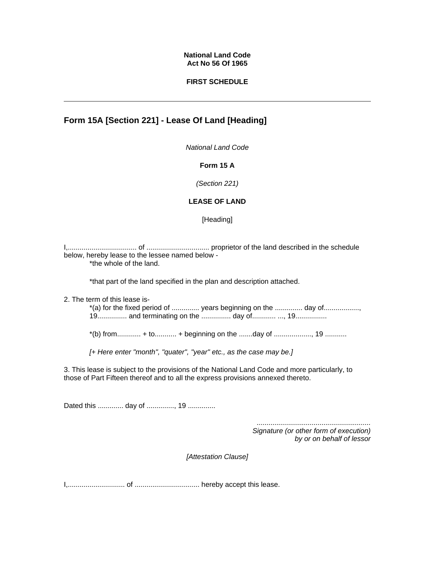### **National Land Code Act No 56 Of 1965**

### **FIRST SCHEDULE**

# **Form 15A [Section 221] - Lease Of Land [Heading]**

*National Land Code*

**Form 15 A**

*(Section 221)*

## **LEASE OF LAND**

[Heading]

I,................................... of ................................ proprietor of the land described in the schedule below, hereby lease to the lessee named below - \*the whole of the land.

\*that part of the land specified in the plan and description attached.

2. The term of this lease is-

\*(a) for the fixed period of .............. years beginning on the ............... day of................., 19............... and terminating on the ............... day of............ ..., 19................

\*(b) from............ + to........... + beginning on the .......day of ..................., 19 ...........

*[+ Here enter "month", "quater", "year" etc., as the case may be.]*

3. This lease is subject to the provisions of the National Land Code and more particularly, to those of Part Fifteen thereof and to all the express provisions annexed thereto.

Dated this ............. day of .............., 19 ...............

*.......................................................... Signature (or other form of execution) by or on behalf of lessor* 

*[Attestation Clause]* 

I,............................. of ................................. hereby accept this lease.